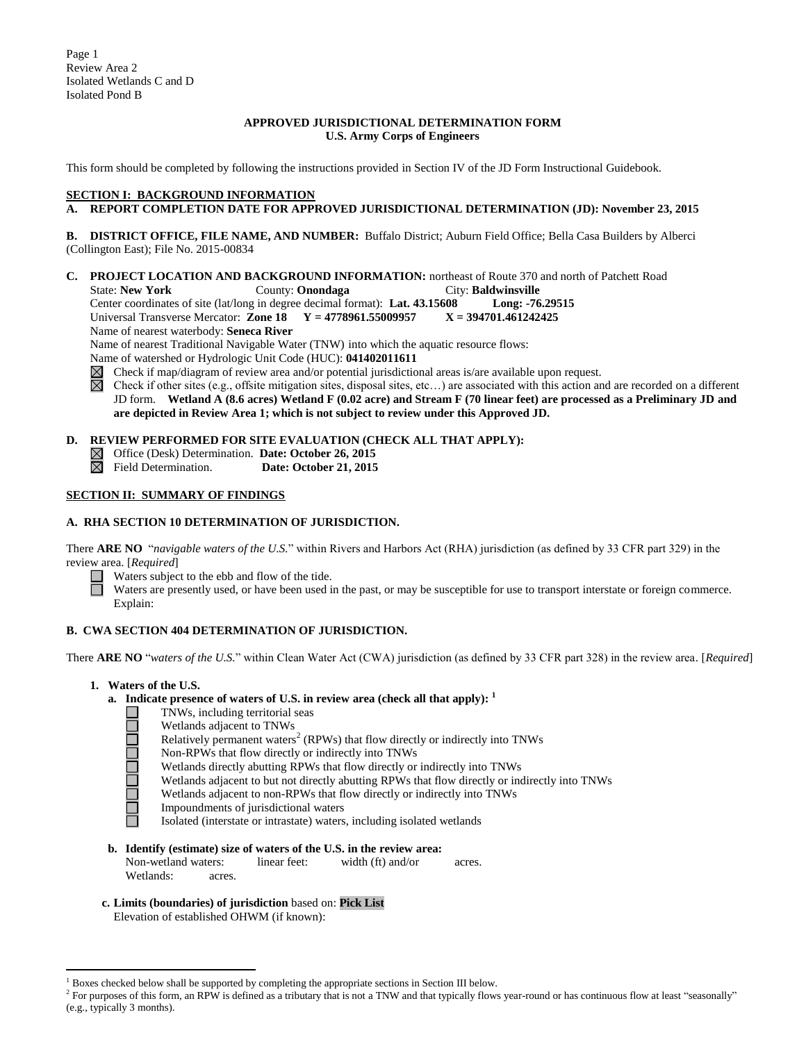Page 1 Review Area 2 Isolated Wetlands C and D Isolated Pond B

#### **APPROVED JURISDICTIONAL DETERMINATION FORM U.S. Army Corps of Engineers**

This form should be completed by following the instructions provided in Section IV of the JD Form Instructional Guidebook.

# **SECTION I: BACKGROUND INFORMATION**

#### **A. REPORT COMPLETION DATE FOR APPROVED JURISDICTIONAL DETERMINATION (JD): November 23, 2015**

**B. DISTRICT OFFICE, FILE NAME, AND NUMBER:** Buffalo District; Auburn Field Office; Bella Casa Builders by Alberci (Collington East); File No. 2015-00834

**C. PROJECT LOCATION AND BACKGROUND INFORMATION:** northeast of Route 370 and north of Patchett Road

State: **New York** County: **Onondaga** City: **Baldwinsville**<br>Center coordinates of site (lat/long in degree decimal format): Lat. 43.15608 Long: -76.29515 Center coordinates of site (lat/long in degree decimal format): Lat. 43.15608

Universal Transverse Mercator: **Zone 18 Y = 4778961.55009957 X = 394701.461242425**

Name of nearest waterbody: **Seneca River**

Name of nearest Traditional Navigable Water (TNW) into which the aquatic resource flows:

Name of watershed or Hydrologic Unit Code (HUC): **041402011611**

Check if map/diagram of review area and/or potential jurisdictional areas is/are available upon request.  $\boxtimes$ 

⊠ Check if other sites (e.g., offsite mitigation sites, disposal sites, etc…) are associated with this action and are recorded on a different JD form. **Wetland A (8.6 acres) Wetland F (0.02 acre) and Stream F (70 linear feet) are processed as a Preliminary JD and are depicted in Review Area 1; which is not subject to review under this Approved JD.**

# **D. REVIEW PERFORMED FOR SITE EVALUATION (CHECK ALL THAT APPLY):**

- Office (Desk) Determination. **Date: October 26, 2015**
- Date: October 21, 2015

## **SECTION II: SUMMARY OF FINDINGS**

## **A. RHA SECTION 10 DETERMINATION OF JURISDICTION.**

There **ARE NO** "*navigable waters of the U.S.*" within Rivers and Harbors Act (RHA) jurisdiction (as defined by 33 CFR part 329) in the review area. [*Required*]

Waters subject to the ebb and flow of the tide.

Waters are presently used, or have been used in the past, or may be susceptible for use to transport interstate or foreign commerce. Explain:

# **B. CWA SECTION 404 DETERMINATION OF JURISDICTION.**

There **ARE NO** "*waters of the U.S.*" within Clean Water Act (CWA) jurisdiction (as defined by 33 CFR part 328) in the review area. [*Required*]

**1. Waters of the U.S.**

**Najara** 

 $\overline{a}$ 

- **a. Indicate presence of waters of U.S. in review area (check all that apply): 1**
	- TNWs, including territorial seas
		- Wetlands adjacent to TNWs
	- Relatively permanent waters<sup>2</sup> (RPWs) that flow directly or indirectly into TNWs
	- Non-RPWs that flow directly or indirectly into TNWs
	- Wetlands directly abutting RPWs that flow directly or indirectly into TNWs
	- Wetlands adjacent to but not directly abutting RPWs that flow directly or indirectly into TNWs
	- Wetlands adjacent to non-RPWs that flow directly or indirectly into TNWs
	- Impoundments of jurisdictional waters
	- Isolated (interstate or intrastate) waters, including isolated wetlands
- **b. Identify (estimate) size of waters of the U.S. in the review area:** Non-wetland waters: linear feet: width (ft) and/or acres. Wetlands: acres.
- **c. Limits (boundaries) of jurisdiction** based on: **Pick List**

Elevation of established OHWM (if known):

 $<sup>1</sup>$  Boxes checked below shall be supported by completing the appropriate sections in Section III below.</sup>

<sup>&</sup>lt;sup>2</sup> For purposes of this form, an RPW is defined as a tributary that is not a TNW and that typically flows year-round or has continuous flow at least "seasonally" (e.g., typically 3 months).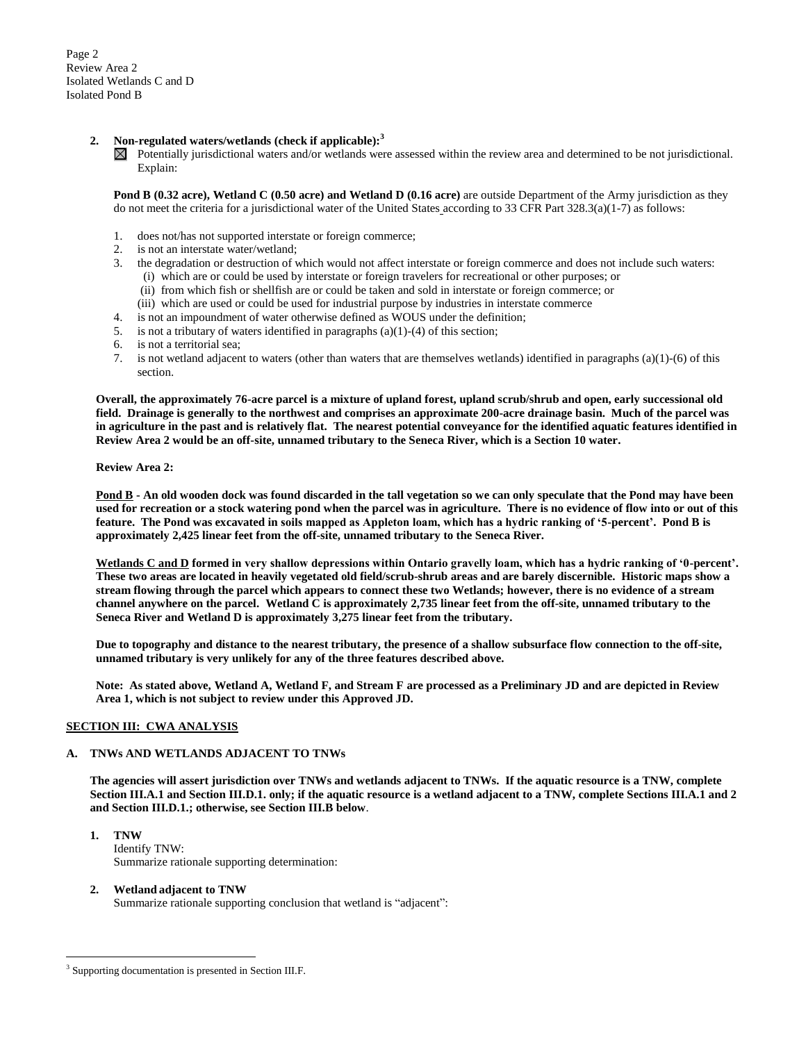Page 2 Review Area 2 Isolated Wetlands C and D Isolated Pond B

### **2. Non-regulated waters/wetlands (check if applicable): 3**

 $\boxtimes$  Potentially jurisdictional waters and/or wetlands were assessed within the review area and determined to be not jurisdictional. Explain:

**Pond B (0.32 acre), Wetland C (0.50 acre) and Wetland D (0.16 acre)** are outside Department of the Army jurisdiction as they do not meet the criteria for a jurisdictional water of the United States according to 33 CFR Part  $328.3(a)(1-7)$  as follows:

- 1. does not/has not supported interstate or foreign commerce;
- 2. is not an interstate water/wetland;<br>3. the degradation or destruction of v
- 3. the degradation or destruction of which would not affect interstate or foreign commerce and does not include such waters: (i) which are or could be used by interstate or foreign travelers for recreational or other purposes; or
	- (ii) from which fish or shellfish are or could be taken and sold in interstate or foreign commerce; or
	- (iii) which are used or could be used for industrial purpose by industries in interstate commerce
- 4. is not an impoundment of water otherwise defined as WOUS under the definition;
- 5. is not a tributary of waters identified in paragraphs (a)(1)-(4) of this section;
- 6. is not a territorial sea;
- 7. is not wetland adjacent to waters (other than waters that are themselves wetlands) identified in paragraphs (a)(1)-(6) of this section.

**Overall, the approximately 76-acre parcel is a mixture of upland forest, upland scrub/shrub and open, early successional old field. Drainage is generally to the northwest and comprises an approximate 200-acre drainage basin. Much of the parcel was in agriculture in the past and is relatively flat. The nearest potential conveyance for the identified aquatic features identified in Review Area 2 would be an off-site, unnamed tributary to the Seneca River, which is a Section 10 water.**

**Review Area 2:**

**Pond B - An old wooden dock was found discarded in the tall vegetation so we can only speculate that the Pond may have been used for recreation or a stock watering pond when the parcel was in agriculture. There is no evidence of flow into or out of this feature. The Pond was excavated in soils mapped as Appleton loam, which has a hydric ranking of '5-percent'. Pond B is approximately 2,425 linear feet from the off-site, unnamed tributary to the Seneca River.**

**Wetlands C and D formed in very shallow depressions within Ontario gravelly loam, which has a hydric ranking of '0-percent'. These two areas are located in heavily vegetated old field/scrub-shrub areas and are barely discernible. Historic maps show a stream flowing through the parcel which appears to connect these two Wetlands; however, there is no evidence of a stream channel anywhere on the parcel. Wetland C is approximately 2,735 linear feet from the off-site, unnamed tributary to the Seneca River and Wetland D is approximately 3,275 linear feet from the tributary.** 

**Due to topography and distance to the nearest tributary, the presence of a shallow subsurface flow connection to the off-site, unnamed tributary is very unlikely for any of the three features described above.**

**Note: As stated above, Wetland A, Wetland F, and Stream F are processed as a Preliminary JD and are depicted in Review Area 1, which is not subject to review under this Approved JD.**

#### **SECTION III: CWA ANALYSIS**

#### **A. TNWs AND WETLANDS ADJACENT TO TNWs**

**The agencies will assert jurisdiction over TNWs and wetlands adjacent to TNWs. If the aquatic resource is a TNW, complete Section III.A.1 and Section III.D.1. only; if the aquatic resource is a wetland adjacent to a TNW, complete Sections III.A.1 and 2 and Section III.D.1.; otherwise, see Section III.B below**.

- **1. TNW**  Identify TNW: Summarize rationale supporting determination:
- **2. Wetland adjacent to TNW**  Summarize rationale supporting conclusion that wetland is "adjacent":

 $\overline{a}$ 

<sup>&</sup>lt;sup>3</sup> Supporting documentation is presented in Section III.F.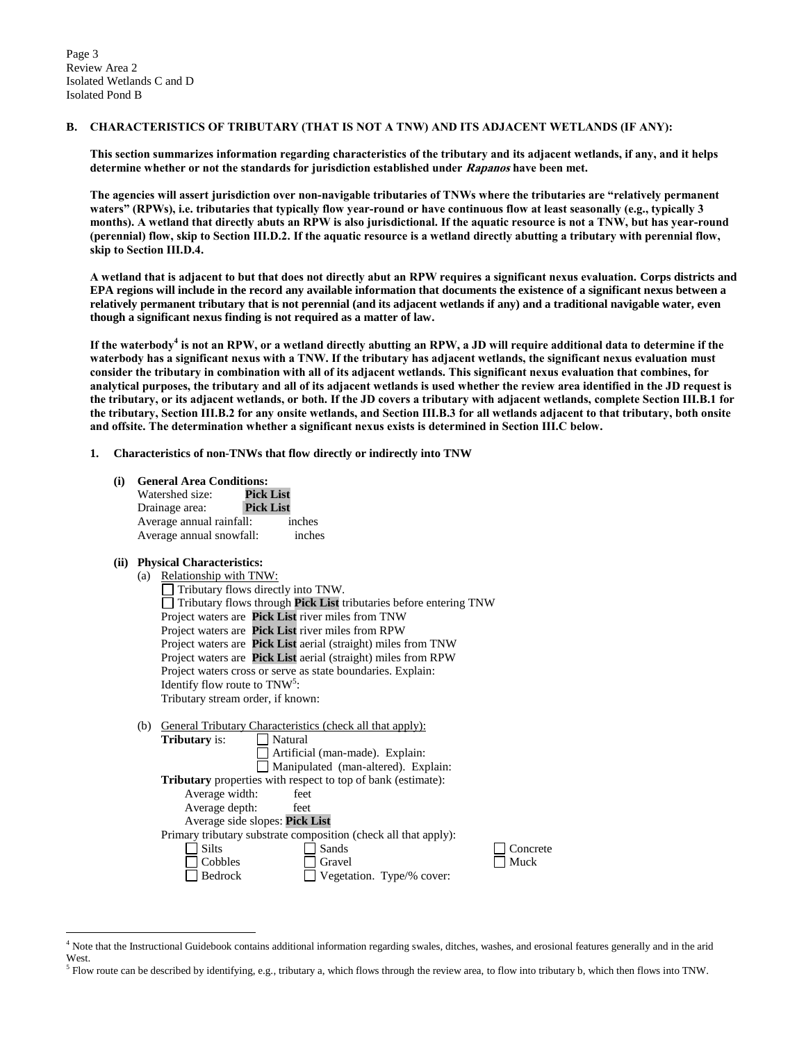#### **B. CHARACTERISTICS OF TRIBUTARY (THAT IS NOT A TNW) AND ITS ADJACENT WETLANDS (IF ANY):**

**This section summarizes information regarding characteristics of the tributary and its adjacent wetlands, if any, and it helps determine whether or not the standards for jurisdiction established under Rapanos have been met.** 

**The agencies will assert jurisdiction over non-navigable tributaries of TNWs where the tributaries are "relatively permanent waters" (RPWs), i.e. tributaries that typically flow year-round or have continuous flow at least seasonally (e.g., typically 3 months). A wetland that directly abuts an RPW is also jurisdictional. If the aquatic resource is not a TNW, but has year-round (perennial) flow, skip to Section III.D.2. If the aquatic resource is a wetland directly abutting a tributary with perennial flow, skip to Section III.D.4.**

**A wetland that is adjacent to but that does not directly abut an RPW requires a significant nexus evaluation. Corps districts and EPA regions will include in the record any available information that documents the existence of a significant nexus between a relatively permanent tributary that is not perennial (and its adjacent wetlands if any) and a traditional navigable water, even though a significant nexus finding is not required as a matter of law.**

**If the waterbody<sup>4</sup> is not an RPW, or a wetland directly abutting an RPW, a JD will require additional data to determine if the waterbody has a significant nexus with a TNW. If the tributary has adjacent wetlands, the significant nexus evaluation must consider the tributary in combination with all of its adjacent wetlands. This significant nexus evaluation that combines, for analytical purposes, the tributary and all of its adjacent wetlands is used whether the review area identified in the JD request is the tributary, or its adjacent wetlands, or both. If the JD covers a tributary with adjacent wetlands, complete Section III.B.1 for the tributary, Section III.B.2 for any onsite wetlands, and Section III.B.3 for all wetlands adjacent to that tributary, both onsite and offsite. The determination whether a significant nexus exists is determined in Section III.C below.**

#### **1. Characteristics of non-TNWs that flow directly or indirectly into TNW**

**(i) General Area Conditions:**

| Watershed size:          | <b>Pick List</b> |        |
|--------------------------|------------------|--------|
| Drainage area:           | <b>Pick List</b> |        |
| Average annual rainfall: |                  | inches |
| Average annual snowfall: |                  | inches |

# **(ii) Physical Characteristics:**

 $\overline{a}$ 

| (a) | Relationship with TNW:                    |  |                                                                                 |  |  |  |
|-----|-------------------------------------------|--|---------------------------------------------------------------------------------|--|--|--|
|     | $\Box$ Tributary flows directly into TNW. |  |                                                                                 |  |  |  |
|     |                                           |  | $\Box$ Tributary flows through <b>Pick List</b> tributaries before entering TNW |  |  |  |
|     |                                           |  | Project waters are Pick List river miles from TNW                               |  |  |  |
|     |                                           |  | Project waters are <b>Pick List</b> river miles from RPW                        |  |  |  |
|     |                                           |  | Project waters are Pick List aerial (straight) miles from TNW                   |  |  |  |
|     |                                           |  | Project waters are Pick List aerial (straight) miles from RPW                   |  |  |  |
|     |                                           |  | Project waters cross or serve as state boundaries. Explain:                     |  |  |  |
|     | Identify flow route to $TNW5$ :           |  |                                                                                 |  |  |  |
|     | Tributary stream order, if known:         |  |                                                                                 |  |  |  |
|     |                                           |  |                                                                                 |  |  |  |

| General Tributary Characteristics (check all that apply):           |
|---------------------------------------------------------------------|
| <b>Tributary</b> is:<br>Natural                                     |
| Artificial (man-made). Explain:                                     |
| $\Box$ Manipulated (man-altered). Explain:                          |
| <b>Tributary</b> properties with respect to top of bank (estimate): |
| Average width:<br>feet                                              |
| Average depth:<br>feet                                              |
| Average side slopes: Pick List                                      |
| Primary tributary substrate composition (check all that apply):     |
| <b>Silts</b><br>Sands                                               |
| Cobbles<br>Gravel                                                   |
| Bedrock<br>Vegetation. Type/% cover:                                |
|                                                                     |

<sup>4</sup> Note that the Instructional Guidebook contains additional information regarding swales, ditches, washes, and erosional features generally and in the arid West.

 $\Box$  Concrete  $\Box$  Muck

 $<sup>5</sup>$  Flow route can be described by identifying, e.g., tributary a, which flows through the review area, to flow into tributary b, which then flows into TNW.</sup>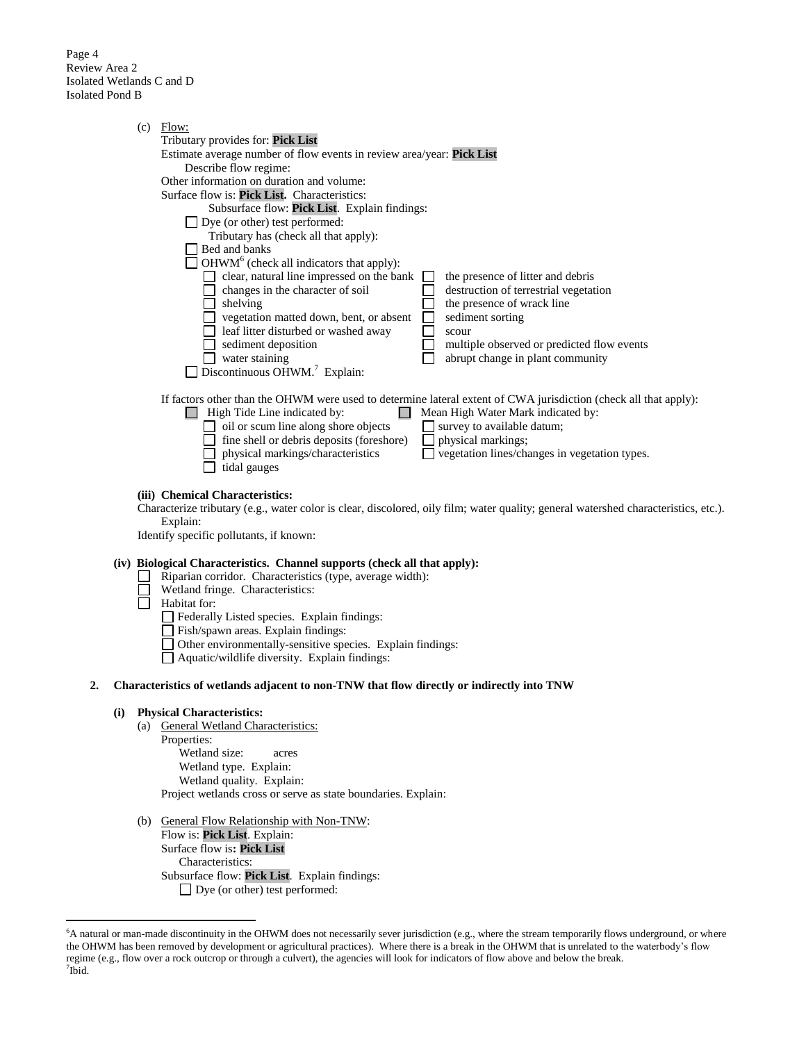Page 4 Review Area 2 Isolated Wetlands C and D Isolated Pond B

|    |     | $(c)$ Flow:<br>Tributary provides for: Pick List<br>Estimate average number of flow events in review area/year: Pick List<br>Describe flow regime:<br>Other information on duration and volume:<br>Surface flow is: Pick List. Characteristics:<br>Subsurface flow: Pick List. Explain findings:<br>$\Box$ Dye (or other) test performed:<br>Tributary has (check all that apply):<br>Bed and banks<br>$\Box$ OHWM <sup>6</sup> (check all indicators that apply):<br>$\Box$ clear, natural line impressed on the bank<br>the presence of litter and debris<br>$\Box$ changes in the character of soil<br>destruction of terrestrial vegetation<br>$\Box$ shelving<br>the presence of wrack line<br>$\Box$<br>vegetation matted down, bent, or absent<br>sediment sorting<br>$\Box$<br>leaf litter disturbed or washed away<br>scour<br>sediment deposition<br>$\Box$<br>multiple observed or predicted flow events<br>$\Box$ water staining<br>abrupt change in plant community<br>Discontinuous OHWM. <sup>7</sup> Explain: |
|----|-----|-------------------------------------------------------------------------------------------------------------------------------------------------------------------------------------------------------------------------------------------------------------------------------------------------------------------------------------------------------------------------------------------------------------------------------------------------------------------------------------------------------------------------------------------------------------------------------------------------------------------------------------------------------------------------------------------------------------------------------------------------------------------------------------------------------------------------------------------------------------------------------------------------------------------------------------------------------------------------------------------------------------------------------|
|    |     | If factors other than the OHWM were used to determine lateral extent of CWA jurisdiction (check all that apply):<br>$\Box$ High Tide Line indicated by:<br>Mean High Water Mark indicated by:<br>$\Box$ oil or scum line along shore objects<br>$\Box$ survey to available datum;<br>fine shell or debris deposits (foreshore)<br>physical markings;<br>$\mathbf{L}$<br>physical markings/characteristics<br>vegetation lines/changes in vegetation types.<br>tidal gauges                                                                                                                                                                                                                                                                                                                                                                                                                                                                                                                                                    |
|    |     | (iii) Chemical Characteristics:<br>Characterize tributary (e.g., water color is clear, discolored, oily film; water quality; general watershed characteristics, etc.).<br>Explain:<br>Identify specific pollutants, if known:                                                                                                                                                                                                                                                                                                                                                                                                                                                                                                                                                                                                                                                                                                                                                                                                 |
|    |     | (iv) Biological Characteristics. Channel supports (check all that apply):<br>Riparian corridor. Characteristics (type, average width):<br>Wetland fringe. Characteristics:<br>Habitat for:<br>Federally Listed species. Explain findings:<br>Fish/spawn areas. Explain findings:<br>□ Other environmentally-sensitive species. Explain findings:<br>Aquatic/wildlife diversity. Explain findings:                                                                                                                                                                                                                                                                                                                                                                                                                                                                                                                                                                                                                             |
| 2. |     | Characteristics of wetlands adjacent to non-TNW that flow directly or indirectly into TNW                                                                                                                                                                                                                                                                                                                                                                                                                                                                                                                                                                                                                                                                                                                                                                                                                                                                                                                                     |
|    | (i) | <b>Physical Characteristics:</b><br>(a) General Wetland Characteristics:<br>Properties:<br>Wetland size:<br>acres<br>Wetland type. Explain:<br>Wetland quality. Explain:<br>Project wetlands cross or serve as state boundaries. Explain:                                                                                                                                                                                                                                                                                                                                                                                                                                                                                                                                                                                                                                                                                                                                                                                     |
|    |     | <b>TIME</b>                                                                                                                                                                                                                                                                                                                                                                                                                                                                                                                                                                                                                                                                                                                                                                                                                                                                                                                                                                                                                   |

(b) General Flow Relationship with Non-TNW: Flow is: **Pick List**. Explain: Surface flow is**: Pick List**  Characteristics: Subsurface flow: **Pick List**. Explain findings: Dye (or other) test performed:

 $\overline{a}$ 

<sup>&</sup>lt;sup>6</sup>A natural or man-made discontinuity in the OHWM does not necessarily sever jurisdiction (e.g., where the stream temporarily flows underground, or where the OHWM has been removed by development or agricultural practices). Where there is a break in the OHWM that is unrelated to the waterbody's flow regime (e.g., flow over a rock outcrop or through a culvert), the agencies will look for indicators of flow above and below the break. 7 Ibid.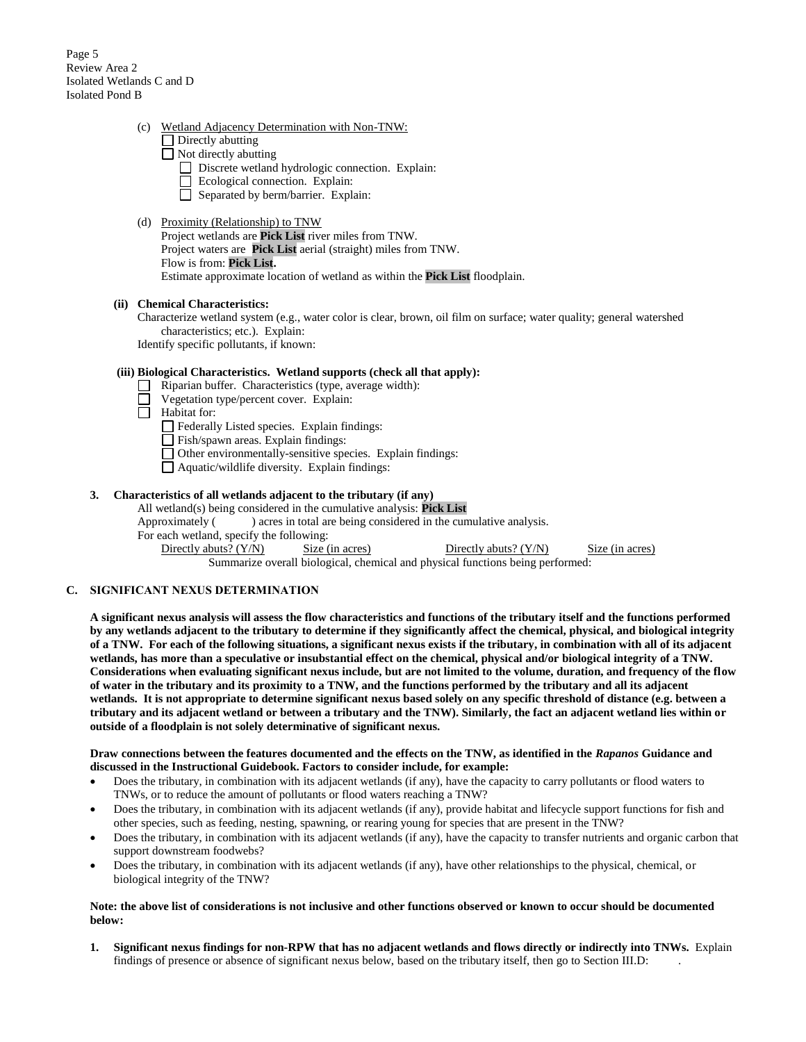Page 5 Review Area 2 Isolated Wetlands C and D Isolated Pond B

- (c) Wetland Adjacency Determination with Non-TNW:
	- $\Box$  Directly abutting
	- Not directly abutting
		- Discrete wetland hydrologic connection. Explain:
		- Ecological connection. Explain:
		- $\Box$  Separated by berm/barrier. Explain:

## (d) Proximity (Relationship) to TNW

Project wetlands are **Pick List** river miles from TNW. Project waters are **Pick List** aerial (straight) miles from TNW. Flow is from: **Pick List.** Estimate approximate location of wetland as within the **Pick List** floodplain.

# **(ii) Chemical Characteristics:**

Characterize wetland system (e.g., water color is clear, brown, oil film on surface; water quality; general watershed characteristics; etc.). Explain:

Identify specific pollutants, if known:

### **(iii) Biological Characteristics. Wetland supports (check all that apply):**

- Riparian buffer. Characteristics (type, average width):  $\Box$ 
	- Vegetation type/percent cover. Explain:

 $\Box$ Habitat for:

- Federally Listed species. Explain findings:
- Fish/spawn areas. Explain findings:
- Other environmentally-sensitive species. Explain findings:
- Aquatic/wildlife diversity. Explain findings:

# **3. Characteristics of all wetlands adjacent to the tributary (if any)**

All wetland(s) being considered in the cumulative analysis: **Pick List** Approximately () acres in total are being considered in the cumulative analysis. For each wetland, specify the following: Directly abuts? (Y/N) Size (in acres) Directly abuts? (Y/N) Size (in acres) Summarize overall biological, chemical and physical functions being performed:

## **C. SIGNIFICANT NEXUS DETERMINATION**

**A significant nexus analysis will assess the flow characteristics and functions of the tributary itself and the functions performed by any wetlands adjacent to the tributary to determine if they significantly affect the chemical, physical, and biological integrity of a TNW. For each of the following situations, a significant nexus exists if the tributary, in combination with all of its adjacent wetlands, has more than a speculative or insubstantial effect on the chemical, physical and/or biological integrity of a TNW. Considerations when evaluating significant nexus include, but are not limited to the volume, duration, and frequency of the flow of water in the tributary and its proximity to a TNW, and the functions performed by the tributary and all its adjacent wetlands. It is not appropriate to determine significant nexus based solely on any specific threshold of distance (e.g. between a tributary and its adjacent wetland or between a tributary and the TNW). Similarly, the fact an adjacent wetland lies within or outside of a floodplain is not solely determinative of significant nexus.** 

#### **Draw connections between the features documented and the effects on the TNW, as identified in the** *Rapanos* **Guidance and discussed in the Instructional Guidebook. Factors to consider include, for example:**

- Does the tributary, in combination with its adjacent wetlands (if any), have the capacity to carry pollutants or flood waters to TNWs, or to reduce the amount of pollutants or flood waters reaching a TNW?
- Does the tributary, in combination with its adjacent wetlands (if any), provide habitat and lifecycle support functions for fish and other species, such as feeding, nesting, spawning, or rearing young for species that are present in the TNW?
- Does the tributary, in combination with its adjacent wetlands (if any), have the capacity to transfer nutrients and organic carbon that support downstream foodwebs?
- Does the tributary, in combination with its adjacent wetlands (if any), have other relationships to the physical, chemical, or biological integrity of the TNW?

#### **Note: the above list of considerations is not inclusive and other functions observed or known to occur should be documented below:**

**1. Significant nexus findings for non-RPW that has no adjacent wetlands and flows directly or indirectly into TNWs.** Explain findings of presence or absence of significant nexus below, based on the tributary itself, then go to Section III.D: .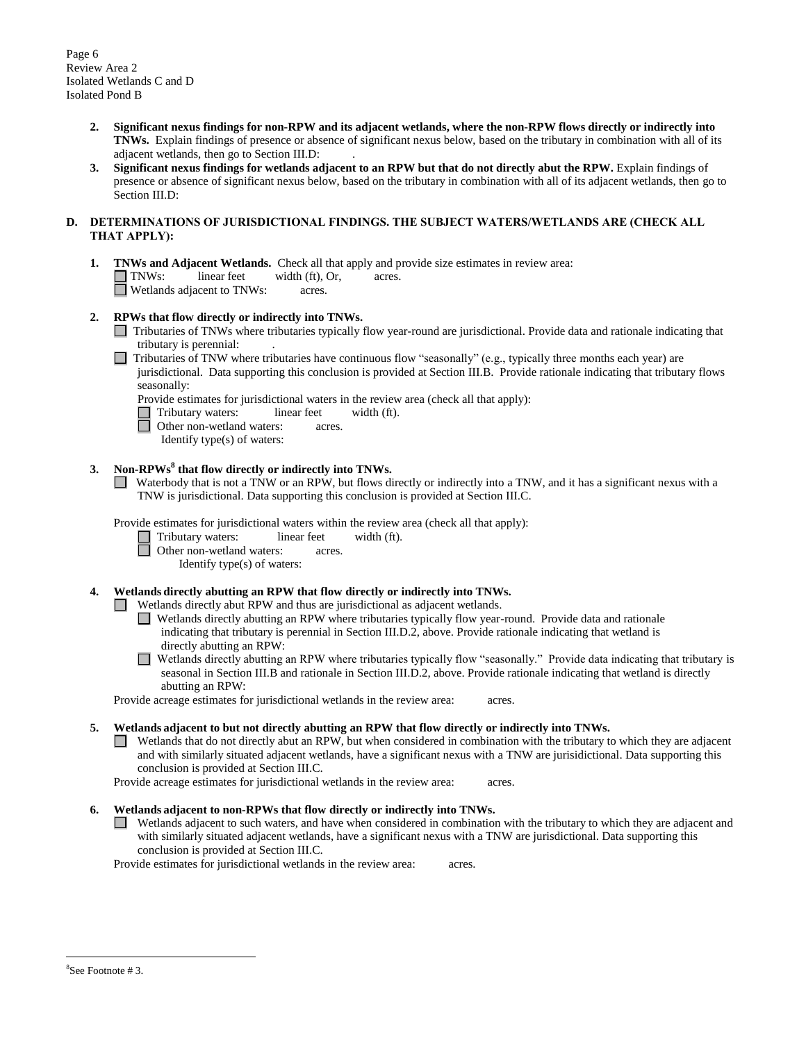Page 6 Review Area 2 Isolated Wetlands C and D Isolated Pond B

- **2. Significant nexus findings for non-RPW and its adjacent wetlands, where the non-RPW flows directly or indirectly into TNWs.** Explain findings of presence or absence of significant nexus below, based on the tributary in combination with all of its adjacent wetlands, then go to Section III.D: .
- **3. Significant nexus findings for wetlands adjacent to an RPW but that do not directly abut the RPW.** Explain findings of presence or absence of significant nexus below, based on the tributary in combination with all of its adjacent wetlands, then go to Section III.D:

#### **D. DETERMINATIONS OF JURISDICTIONAL FINDINGS. THE SUBJECT WATERS/WETLANDS ARE (CHECK ALL THAT APPLY):**

**1. TNWs and Adjacent Wetlands.** Check all that apply and provide size estimates in review area: TNWs: linear feet width (ft), Or, acres. **Netlands adjacent to TNWs:** acres.

## **2. RPWs that flow directly or indirectly into TNWs.**

- Tributaries of TNWs where tributaries typically flow year-round are jurisdictional. Provide data and rationale indicating that tributary is perennial: .
- $\Box$  Tributaries of TNW where tributaries have continuous flow "seasonally" (e.g., typically three months each year) are jurisdictional. Data supporting this conclusion is provided at Section III.B. Provide rationale indicating that tributary flows seasonally:
	- Provide estimates for jurisdictional waters in the review area (check all that apply):<br>
	Tributary waters: linear feet width (ft).<br>
	Other non-wetland waters: acres.
	- Tributary waters: linear feet width (ft).
	- Other non-wetland waters: acres.
	- Identify type(s) of waters:

# **3. Non-RPWs<sup>8</sup> that flow directly or indirectly into TNWs.**

Waterbody that is not a TNW or an RPW, but flows directly or indirectly into a TNW, and it has a significant nexus with a TNW is jurisdictional. Data supporting this conclusion is provided at Section III.C.

Provide estimates for jurisdictional waters within the review area (check all that apply):

- Tributary waters: linear feet width (ft).
	- Other non-wetland waters: acres.
		- Identify type(s) of waters:

# **4. Wetlands directly abutting an RPW that flow directly or indirectly into TNWs.**

Wetlands directly abut RPW and thus are jurisdictional as adjacent wetlands.

- Wetlands directly abutting an RPW where tributaries typically flow year-round. Provide data and rationale indicating that tributary is perennial in Section III.D.2, above. Provide rationale indicating that wetland is directly abutting an RPW:
- Wetlands directly abutting an RPW where tributaries typically flow "seasonally." Provide data indicating that tributary is seasonal in Section III.B and rationale in Section III.D.2, above. Provide rationale indicating that wetland is directly abutting an RPW:

Provide acreage estimates for jurisdictional wetlands in the review area: acres.

#### **5. Wetlands adjacent to but not directly abutting an RPW that flow directly or indirectly into TNWs.**

Wetlands that do not directly abut an RPW, but when considered in combination with the tributary to which they are adjacent and with similarly situated adjacent wetlands, have a significant nexus with a TNW are jurisidictional. Data supporting this conclusion is provided at Section III.C.

Provide acreage estimates for jurisdictional wetlands in the review area: acres.

# **6. Wetlands adjacent to non-RPWs that flow directly or indirectly into TNWs.**

Wetlands adjacent to such waters, and have when considered in combination with the tributary to which they are adjacent and with similarly situated adjacent wetlands, have a significant nexus with a TNW are jurisdictional. Data supporting this conclusion is provided at Section III.C.

Provide estimates for jurisdictional wetlands in the review area: acres.

 $\overline{a}$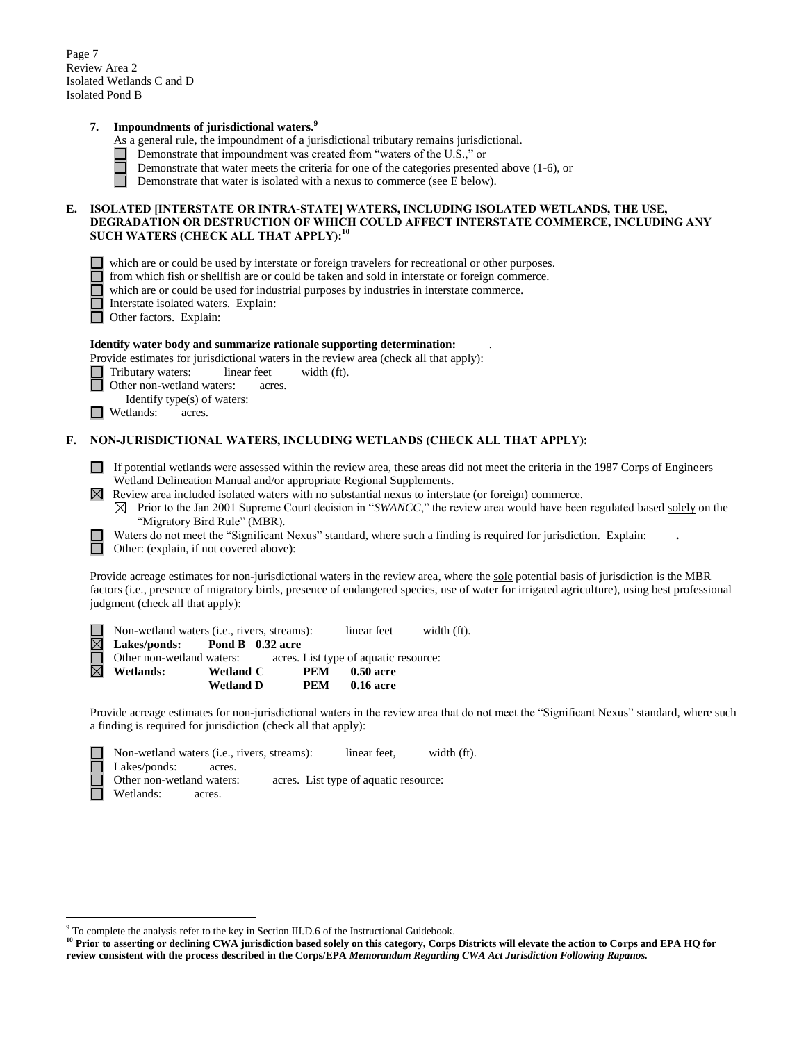Page 7 Review Area 2 Isolated Wetlands C and D Isolated Pond B

### **7. Impoundments of jurisdictional waters. 9**

- As a general rule, the impoundment of a jurisdictional tributary remains jurisdictional.
- Demonstrate that impoundment was created from "waters of the U.S.," or
	- Demonstrate that water meets the criteria for one of the categories presented above (1-6), or
- $\Box$ Demonstrate that water is isolated with a nexus to commerce (see E below).

#### **E. ISOLATED [INTERSTATE OR INTRA-STATE] WATERS, INCLUDING ISOLATED WETLANDS, THE USE, DEGRADATION OR DESTRUCTION OF WHICH COULD AFFECT INTERSTATE COMMERCE, INCLUDING ANY SUCH WATERS (CHECK ALL THAT APPLY):<sup>10</sup>**

- which are or could be used by interstate or foreign travelers for recreational or other purposes.
- from which fish or shellfish are or could be taken and sold in interstate or foreign commerce.
- $\Box$  which are or could be used for industrial purposes by industries in interstate commerce.
	- Interstate isolated waters.Explain:
- П Other factors.Explain:

#### **Identify water body and summarize rationale supporting determination:** .

Provide estimates for jurisdictional waters in the review area (check all that apply):

- Tributary waters: linear feet width (ft).
	- Other non-wetland waters: acres.
- Identify type(s) of waters:
- $\Box$  Wetlands: acres.

 $\overline{a}$ 

### **F. NON-JURISDICTIONAL WATERS, INCLUDING WETLANDS (CHECK ALL THAT APPLY):**

- If potential wetlands were assessed within the review area, these areas did not meet the criteria in the 1987 Corps of Engineers Wetland Delineation Manual and/or appropriate Regional Supplements.
- $\boxtimes$  Review area included isolated waters with no substantial nexus to interstate (or foreign) commerce.
	- $\boxtimes$  Prior to the Jan 2001 Supreme Court decision in "*SWANCC*," the review area would have been regulated based solely on the "Migratory Bird Rule" (MBR).
	- Waters do not meet the "Significant Nexus" standard, where such a finding is required for jurisdiction. Explain: **.**

Other: (explain, if not covered above):

Provide acreage estimates for non-jurisdictional waters in the review area, where the sole potential basis of jurisdiction is the MBR factors (i.e., presence of migratory birds, presence of endangered species, use of water for irrigated agriculture), using best professional judgment (check all that apply):

| $\Box$ Non-wetland waters (i.e., rivers, streams): |                  |                                       | linear feet | width (ft). |
|----------------------------------------------------|------------------|---------------------------------------|-------------|-------------|
| $\boxtimes$ Lakes/ponds: Pond B 0.32 acre          |                  |                                       |             |             |
| $\Box$ Other non-wetland waters:                   |                  | acres. List type of aquatic resource: |             |             |
| $\boxtimes$ Wetlands:                              | <b>Wetland C</b> | PEM                                   | 0.50 acre   |             |
|                                                    | <b>Wetland D</b> | PEM                                   | 0.16 acre   |             |

Provide acreage estimates for non-jurisdictional waters in the review area that do not meet the "Significant Nexus" standard, where such a finding is required for jurisdiction (check all that apply):

| $\Box$ Non-wetland waters (i.e., rivers, streams): | linear feet.                          | width (ft). |
|----------------------------------------------------|---------------------------------------|-------------|
| $\Box$ Lakes/ponds:<br>acres.                      |                                       |             |
| Other non-wetland waters:                          | acres. List type of aquatic resource: |             |
| Wetlands:<br>acres.                                |                                       |             |

<sup>9</sup> To complete the analysis refer to the key in Section III.D.6 of the Instructional Guidebook.

<sup>&</sup>lt;sup>10</sup> Prior to asserting or declining CWA jurisdiction based solely on this category, Corps Districts will elevate the action to Corps and EPA HQ for **review consistent with the process described in the Corps/EPA** *Memorandum Regarding CWA Act Jurisdiction Following Rapanos.*